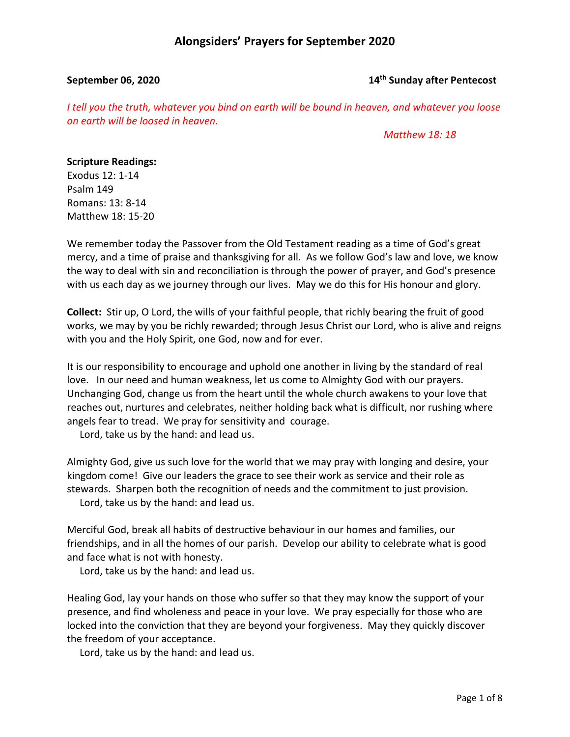### **September 06, 2020 14th Sunday after Pentecost**

*I tell you the truth, whatever you bind on earth will be bound in heaven, and whatever you loose on earth will be loosed in heaven.*

 *Matthew 18: 18*

## **Scripture Readings:**

Exodus 12: 1-14 Psalm 149 Romans: 13: 8-14 Matthew 18: 15-20

We remember today the Passover from the Old Testament reading as a time of God's great mercy, and a time of praise and thanksgiving for all. As we follow God's law and love, we know the way to deal with sin and reconciliation is through the power of prayer, and God's presence with us each day as we journey through our lives. May we do this for His honour and glory.

**Collect:** Stir up, O Lord, the wills of your faithful people, that richly bearing the fruit of good works, we may by you be richly rewarded; through Jesus Christ our Lord, who is alive and reigns with you and the Holy Spirit, one God, now and for ever.

It is our responsibility to encourage and uphold one another in living by the standard of real love. In our need and human weakness, let us come to Almighty God with our prayers. Unchanging God, change us from the heart until the whole church awakens to your love that reaches out, nurtures and celebrates, neither holding back what is difficult, nor rushing where angels fear to tread. We pray for sensitivity and courage.

Lord, take us by the hand: and lead us.

Almighty God, give us such love for the world that we may pray with longing and desire, your kingdom come! Give our leaders the grace to see their work as service and their role as stewards. Sharpen both the recognition of needs and the commitment to just provision. Lord, take us by the hand: and lead us.

Merciful God, break all habits of destructive behaviour in our homes and families, our friendships, and in all the homes of our parish. Develop our ability to celebrate what is good and face what is not with honesty.

Lord, take us by the hand: and lead us.

Healing God, lay your hands on those who suffer so that they may know the support of your presence, and find wholeness and peace in your love. We pray especially for those who are locked into the conviction that they are beyond your forgiveness. May they quickly discover the freedom of your acceptance.

Lord, take us by the hand: and lead us.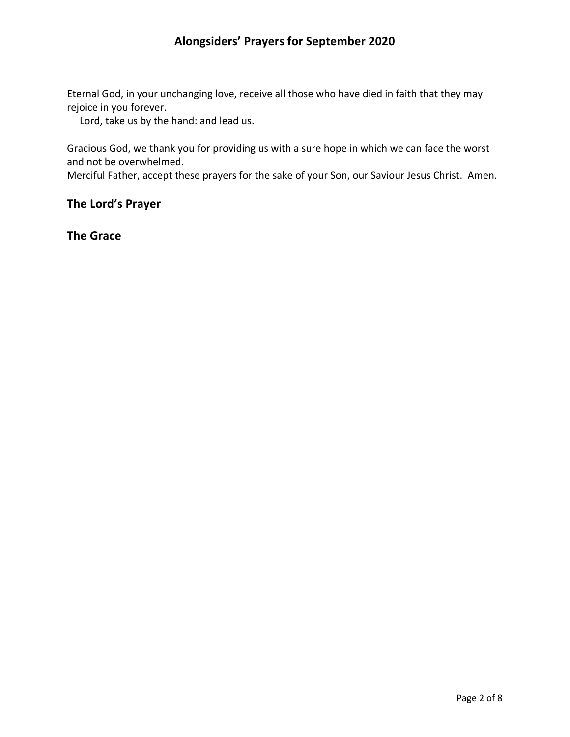Eternal God, in your unchanging love, receive all those who have died in faith that they may rejoice in you forever.

Lord, take us by the hand: and lead us.

Gracious God, we thank you for providing us with a sure hope in which we can face the worst and not be overwhelmed.

Merciful Father, accept these prayers for the sake of your Son, our Saviour Jesus Christ. Amen.

## **The Lord's Prayer**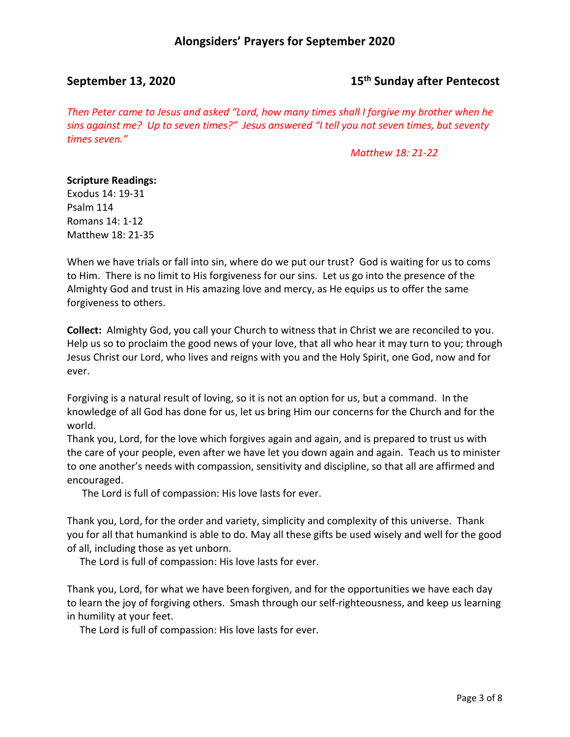## **September 13, 2020 15th Sunday after Pentecost**

*Then Peter came to Jesus and asked "Lord, how many times shall I forgive my brother when he sins against me? Up to seven times?" Jesus answered "I tell you not seven times, but seventy times seven."*

*Matthew 18: 21-22*

### **Scripture Readings:**

Exodus 14: 19-31 Psalm 114 Romans 14: 1-12 Matthew 18: 21-35

When we have trials or fall into sin, where do we put our trust? God is waiting for us to coms to Him. There is no limit to His forgiveness for our sins. Let us go into the presence of the Almighty God and trust in His amazing love and mercy, as He equips us to offer the same forgiveness to others.

**Collect:** Almighty God, you call your Church to witness that in Christ we are reconciled to you. Help us so to proclaim the good news of your love, that all who hear it may turn to you; through Jesus Christ our Lord, who lives and reigns with you and the Holy Spirit, one God, now and for ever.

Forgiving is a natural result of loving, so it is not an option for us, but a command. In the knowledge of all God has done for us, let us bring Him our concerns for the Church and for the world.

Thank you, Lord, for the love which forgives again and again, and is prepared to trust us with the care of your people, even after we have let you down again and again. Teach us to minister to one another's needs with compassion, sensitivity and discipline, so that all are affirmed and encouraged.

The Lord is full of compassion: His love lasts for ever.

Thank you, Lord, for the order and variety, simplicity and complexity of this universe. Thank you for all that humankind is able to do. May all these gifts be used wisely and well for the good of all, including those as yet unborn.

The Lord is full of compassion: His love lasts for ever.

Thank you, Lord, for what we have been forgiven, and for the opportunities we have each day to learn the joy of forgiving others. Smash through our self-righteousness, and keep us learning in humility at your feet.

The Lord is full of compassion: His love lasts for ever.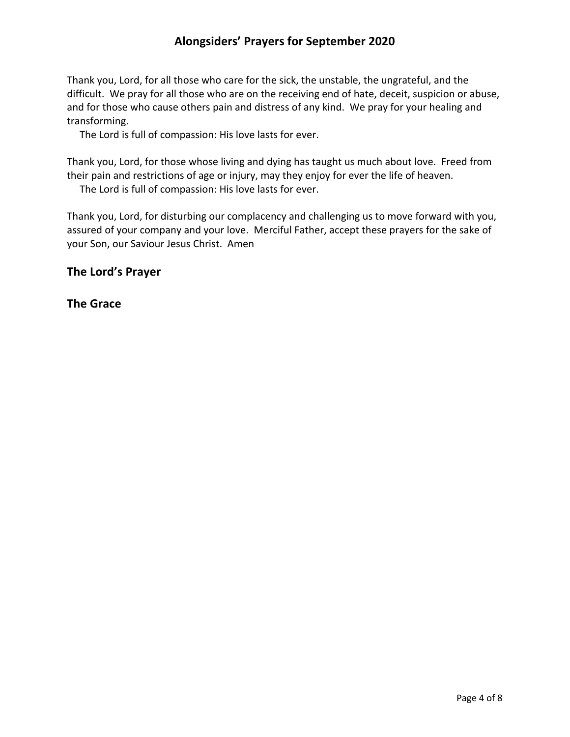Thank you, Lord, for all those who care for the sick, the unstable, the ungrateful, and the difficult. We pray for all those who are on the receiving end of hate, deceit, suspicion or abuse, and for those who cause others pain and distress of any kind. We pray for your healing and transforming.

The Lord is full of compassion: His love lasts for ever.

Thank you, Lord, for those whose living and dying has taught us much about love. Freed from their pain and restrictions of age or injury, may they enjoy for ever the life of heaven.

The Lord is full of compassion: His love lasts for ever.

Thank you, Lord, for disturbing our complacency and challenging us to move forward with you, assured of your company and your love. Merciful Father, accept these prayers for the sake of your Son, our Saviour Jesus Christ. Amen

**The Lord's Prayer**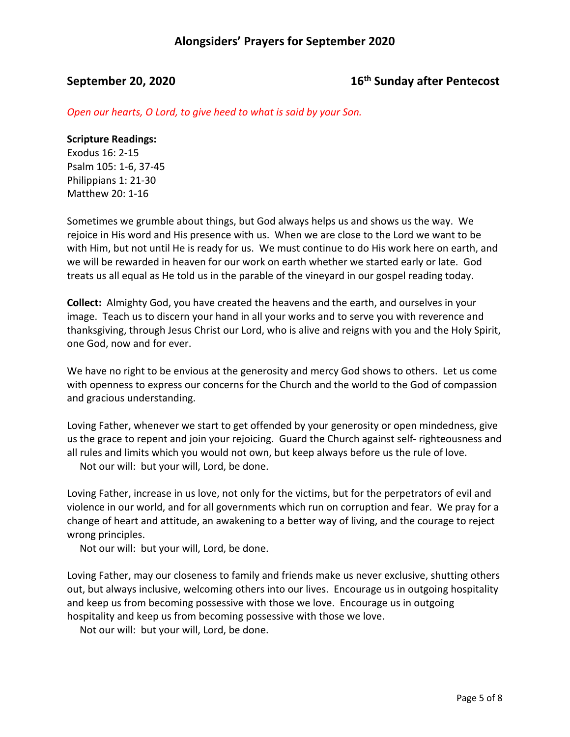# **September 20, 2020 16th Sunday after Pentecost**

*Open our hearts, O Lord, to give heed to what is said by your Son.*

### **Scripture Readings:**

Exodus 16: 2-15 Psalm 105: 1-6, 37-45 Philippians 1: 21-30 Matthew 20: 1-16

Sometimes we grumble about things, but God always helps us and shows us the way. We rejoice in His word and His presence with us. When we are close to the Lord we want to be with Him, but not until He is ready for us. We must continue to do His work here on earth, and we will be rewarded in heaven for our work on earth whether we started early or late. God treats us all equal as He told us in the parable of the vineyard in our gospel reading today.

**Collect:** Almighty God, you have created the heavens and the earth, and ourselves in your image. Teach us to discern your hand in all your works and to serve you with reverence and thanksgiving, through Jesus Christ our Lord, who is alive and reigns with you and the Holy Spirit, one God, now and for ever.

We have no right to be envious at the generosity and mercy God shows to others. Let us come with openness to express our concerns for the Church and the world to the God of compassion and gracious understanding.

Loving Father, whenever we start to get offended by your generosity or open mindedness, give us the grace to repent and join your rejoicing. Guard the Church against self- righteousness and all rules and limits which you would not own, but keep always before us the rule of love.

Not our will: but your will, Lord, be done.

Loving Father, increase in us love, not only for the victims, but for the perpetrators of evil and violence in our world, and for all governments which run on corruption and fear. We pray for a change of heart and attitude, an awakening to a better way of living, and the courage to reject wrong principles.

Not our will: but your will, Lord, be done.

Loving Father, may our closeness to family and friends make us never exclusive, shutting others out, but always inclusive, welcoming others into our lives. Encourage us in outgoing hospitality and keep us from becoming possessive with those we love. Encourage us in outgoing hospitality and keep us from becoming possessive with those we love.

Not our will: but your will, Lord, be done.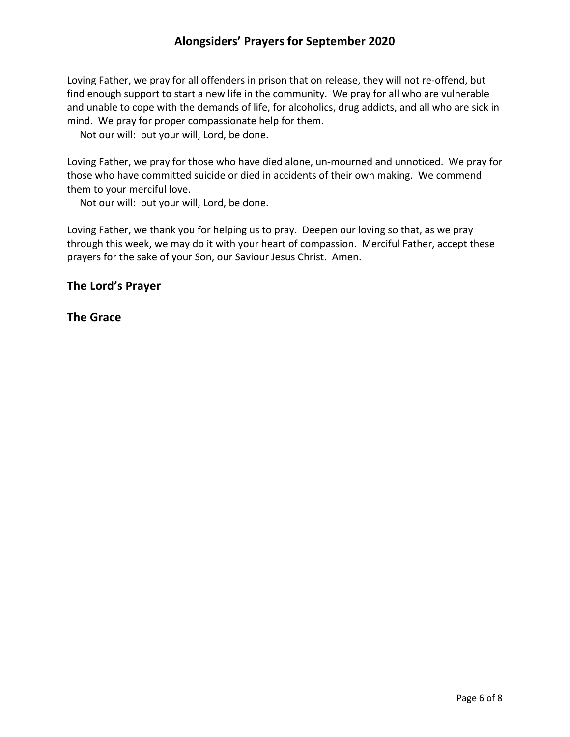Loving Father, we pray for all offenders in prison that on release, they will not re-offend, but find enough support to start a new life in the community. We pray for all who are vulnerable and unable to cope with the demands of life, for alcoholics, drug addicts, and all who are sick in mind. We pray for proper compassionate help for them.

Not our will: but your will, Lord, be done.

Loving Father, we pray for those who have died alone, un-mourned and unnoticed. We pray for those who have committed suicide or died in accidents of their own making. We commend them to your merciful love.

Not our will: but your will, Lord, be done.

Loving Father, we thank you for helping us to pray. Deepen our loving so that, as we pray through this week, we may do it with your heart of compassion. Merciful Father, accept these prayers for the sake of your Son, our Saviour Jesus Christ. Amen.

## **The Lord's Prayer**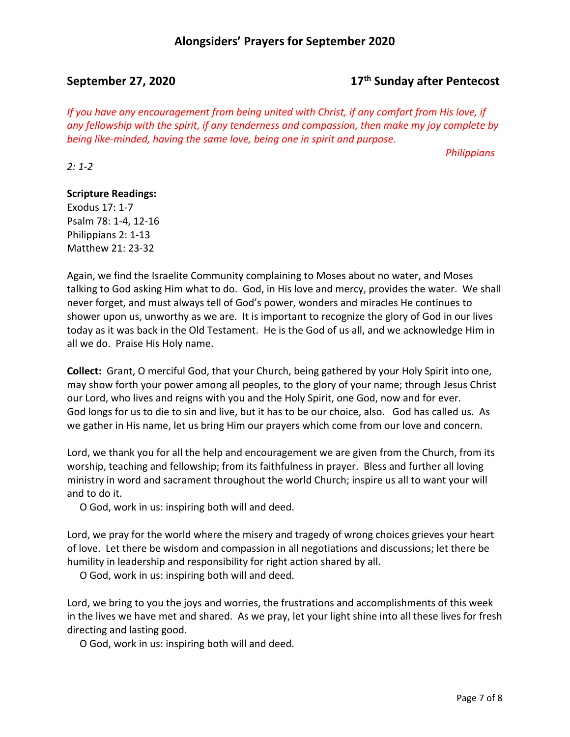## **September 27, 2020 17th Sunday after Pentecost**

*If you have any encouragement from being united with Christ, if any comfort from His love, if any fellowship with the spirit, if any tenderness and compassion, then make my joy complete by being like-minded, having the same love, being one in spirit and purpose.*

 *Philippians* 

*2: 1-2*

## **Scripture Readings:**

Exodus 17: 1-7 Psalm 78: 1-4, 12-16 Philippians 2: 1-13 Matthew 21: 23-32

Again, we find the Israelite Community complaining to Moses about no water, and Moses talking to God asking Him what to do. God, in His love and mercy, provides the water. We shall never forget, and must always tell of God's power, wonders and miracles He continues to shower upon us, unworthy as we are. It is important to recognize the glory of God in our lives today as it was back in the Old Testament. He is the God of us all, and we acknowledge Him in all we do. Praise His Holy name.

**Collect:** Grant, O merciful God, that your Church, being gathered by your Holy Spirit into one, may show forth your power among all peoples, to the glory of your name; through Jesus Christ our Lord, who lives and reigns with you and the Holy Spirit, one God, now and for ever. God longs for us to die to sin and live, but it has to be our choice, also. God has called us. As we gather in His name, let us bring Him our prayers which come from our love and concern.

Lord, we thank you for all the help and encouragement we are given from the Church, from its worship, teaching and fellowship; from its faithfulness in prayer. Bless and further all loving ministry in word and sacrament throughout the world Church; inspire us all to want your will and to do it.

O God, work in us: inspiring both will and deed.

Lord, we pray for the world where the misery and tragedy of wrong choices grieves your heart of love. Let there be wisdom and compassion in all negotiations and discussions; let there be humility in leadership and responsibility for right action shared by all.

O God, work in us: inspiring both will and deed.

Lord, we bring to you the joys and worries, the frustrations and accomplishments of this week in the lives we have met and shared. As we pray, let your light shine into all these lives for fresh directing and lasting good.

O God, work in us: inspiring both will and deed.